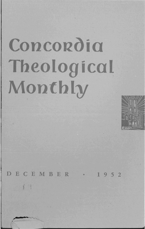## Concordia Theological Monthly



DECEMBER  $1952$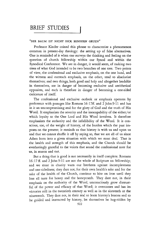## **BRIEF STUDIES**

## "DER BAUM 1ST N1CHT DICK SONDERN GRUEN"

Professor Kinder coined this phrase to characterize a phenomenon common in present-day theology: the setting up of false alternatives. One is reminded of it when one surveys the thinking and feeling on the question of church fellowship within our Synod and within the Synodical Conference. We are in danger, it would seem, of making two trees of what God intended to be two branches of one tree. Two points of view, the confessional and exclusive emphasis, on the one hand, and the witness and outreach emphasis, on the other, tend to absolutize themselves; and two things, both good and holy and altogether laudable in themselves, are in danger of becoming exclusive and antithetical opposites, and each is therefore in danger of becoming a one-sided caricature of itself.

The confessional and exclusive outlook or emphasis operates by preference with passages like Romans 16: 17ff. and 2 John 9-11 and has in it an uncompromising zeal for the glory of God and the truth of His Word. It emphasizes the severity and the inescapability of the either/or which loyalty to the One Lord and His Word involves. It therefore emphasizes the authority and the infallibility of the Word. It is conscious, too, of the weight of history, of the burden which the past imposes on the present; it reminds us that history is with us and upon us and that we cannot shuffle it off by saying so, that we are all of us since Adam born into a given situation with which we must deaL That is the health and strength of this emphasis, and the Church should be everlastingly grateful to the voices that sound the confessional note for us, in season and out.

But a thing that is good is not necessarily in itself complete. Romans 16:17 ff. and 2 John 9-11 are not the whole of Scripture on fellowship; and we must in charity warn our brethren against incompleteness and one-sidedness; they dare not, for their own health's sake and for the sake of the health of the Church, continue to bite on iron until they lose all taste for honey and the honeycomb. They dare not, in their emphasis on the authority of the Word, unconsciously grow distrustful of the power and efficacy of that Word; it overcomes and has its victories still in the twentieth century as well as in the sixteenth or the nineteenth. They dare not, in their zeal to learn history's lessons and to be guided and instructed by history, let themselves be hag-ridden by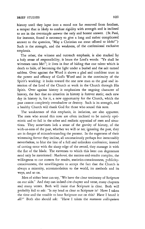history until they lapse into a mood not far removed from fatalism, a temper that is likely to confuse rigidity with strength and is inclined to See in the oversimple answer the only and honest answer. (St. Paul, for instance, found it necessary to give a long and rather complicated answer to the question, "May a Christian eat meat offered to idols?") Such is the strength, and the weakness, of the confessional exclusive emphasis.

The other, the witness and outreach emphasis, is also marked by a holy sense of responsibility; it hears the Lord's words: "Ye shall be witnesses unto Me!"; it lives in fear of hiding that one talent which is death to hide, of becoming the light under a bushel and the salt turned saltless. Over against the Word it shows a glad and confident trust in the power and efficacy of God's Word and in the continuity of the Spirit's working: it looks toward the one new man as the goal and intention of the Lord of the Church at work in the Church through His Spirit. Over against history it emphasizes the ongoing character of history, the fact that no situation in history is forever static; each new day in history *is,* for it, a new opportunity for the Church, which the past cannot completely overshadow or destroy. Such is its strength, and a healthy Church will thank God for those who sound this note.

The weaknesses of this emphasis, in isolation, are also apparent. The men who sound this note are often inclined to be naively optimistic and to fail in the sober and realistic appraisal of men and situations. They sometimes lack a sense of the gravity of history, of the with-us-ness of the past, whether we will or no; ignoring the past, they are in danger of misunderstanding the present. In the eagerness of their witnessing fervor they incline, all unconsciously perhaps but inexcusably nevertheless, to blur the line of a full and unbroken confession; instead of cutting error with the sharp edge of the sword, they massage it with the flat of the blade. The extremes to which this bent can degenerate need only be mentioned: *Macherei,* the success-and-results complex, the willingness to cut corners for results, statistics-consciousness, publicityconsciousness, the unwillingness to accept the fact that the Church *is*  always a minority, accommodation to the world, *its* methods and its ways, and so on.

Men of either bent can say, "We have the clear testimony of Scripture on our side." And they can indeed cite chapter and verse, many chapters and many verses. Both will insist that Scripture is clear. Both will probably fail to ask: "Is my head as clear as Scripture is? Have I taken the time and the trouble to hear Scripture out on this? Have I heard it all?" Both also should ask: "Have I taken the *mutuum colloquium*